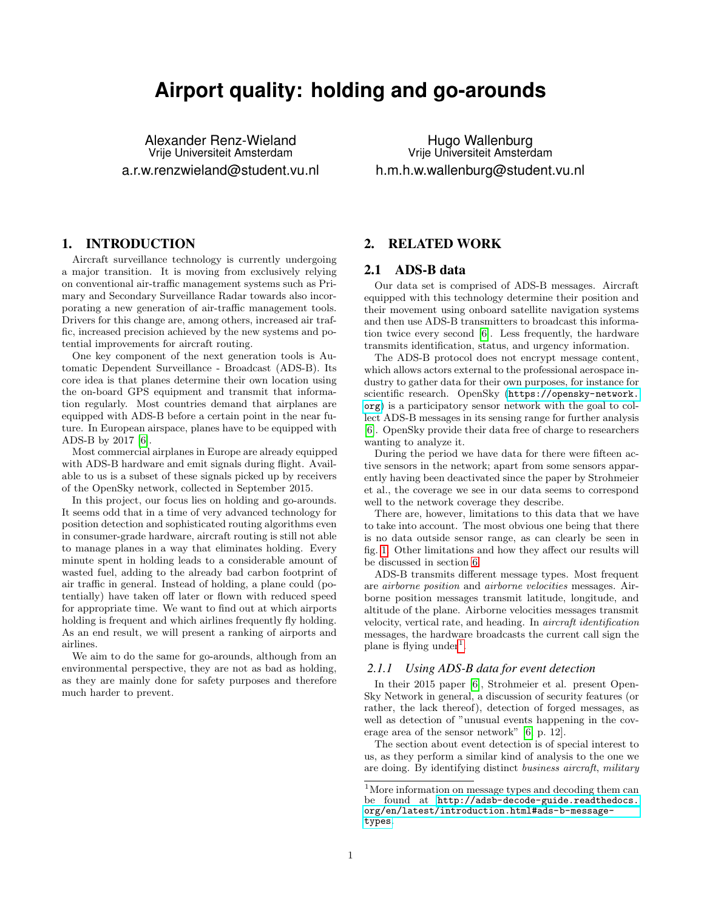# **Airport quality: holding and go-arounds**

Alexander Renz-Wieland Vrije Universiteit Amsterdam a.r.w.renzwieland@student.vu.nl

1. INTRODUCTION

Aircraft surveillance technology is currently undergoing a major transition. It is moving from exclusively relying on conventional air-traffic management systems such as Primary and Secondary Surveillance Radar towards also incorporating a new generation of air-traffic management tools. Drivers for this change are, among others, increased air traffic, increased precision achieved by the new systems and potential improvements for aircraft routing.

One key component of the next generation tools is Automatic Dependent Surveillance - Broadcast (ADS-B). Its core idea is that planes determine their own location using the on-board GPS equipment and transmit that information regularly. Most countries demand that airplanes are equipped with ADS-B before a certain point in the near future. In European airspace, planes have to be equipped with ADS-B by 2017 [\[6\]](#page-8-0).

Most commercial airplanes in Europe are already equipped with ADS-B hardware and emit signals during flight. Available to us is a subset of these signals picked up by receivers of the OpenSky network, collected in September 2015.

In this project, our focus lies on holding and go-arounds. It seems odd that in a time of very advanced technology for position detection and sophisticated routing algorithms even in consumer-grade hardware, aircraft routing is still not able to manage planes in a way that eliminates holding. Every minute spent in holding leads to a considerable amount of wasted fuel, adding to the already bad carbon footprint of air traffic in general. Instead of holding, a plane could (potentially) have taken off later or flown with reduced speed for appropriate time. We want to find out at which airports holding is frequent and which airlines frequently fly holding. As an end result, we will present a ranking of airports and airlines.

We aim to do the same for go-arounds, although from an environmental perspective, they are not as bad as holding, as they are mainly done for safety purposes and therefore much harder to prevent.

Hugo Wallenburg Vrije Universiteit Amsterdam h.m.h.w.wallenburg@student.vu.nl

# 2. RELATED WORK

#### <span id="page-0-1"></span>2.1 ADS-B data

Our data set is comprised of ADS-B messages. Aircraft equipped with this technology determine their position and their movement using onboard satellite navigation systems and then use ADS-B transmitters to broadcast this information twice every second [\[6\]](#page-8-0). Less frequently, the hardware transmits identification, status, and urgency information.

The ADS-B protocol does not encrypt message content, which allows actors external to the professional aerospace industry to gather data for their own purposes, for instance for scientific research. OpenSky ([https://opensky-network.](https://opensky-network.org) [org](https://opensky-network.org)) is a participatory sensor network with the goal to collect ADS-B messages in its sensing range for further analysis [\[6\]](#page-8-0). OpenSky provide their data free of charge to researchers wanting to analyze it.

During the period we have data for there were fifteen active sensors in the network; apart from some sensors apparently having been deactivated since the paper by Strohmeier et al., the coverage we see in our data seems to correspond well to the network coverage they describe.

There are, however, limitations to this data that we have to take into account. The most obvious one being that there is no data outside sensor range, as can clearly be seen in fig. [1.](#page-1-0) Other limitations and how they affect our results will be discussed in section [6.](#page-7-0)

ADS-B transmits different message types. Most frequent are airborne position and airborne velocities messages. Airborne position messages transmit latitude, longitude, and altitude of the plane. Airborne velocities messages transmit velocity, vertical rate, and heading. In aircraft identification messages, the hardware broadcasts the current call sign the plane is flying under<sup>[1](#page-0-0)</sup>.

#### *2.1.1 Using ADS-B data for event detection*

In their 2015 paper [\[6\]](#page-8-0), Strohmeier et al. present Open-Sky Network in general, a discussion of security features (or rather, the lack thereof), detection of forged messages, as well as detection of "unusual events happening in the coverage area of the sensor network" [\[6,](#page-8-0) p. 12].

The section about event detection is of special interest to us, as they perform a similar kind of analysis to the one we are doing. By identifying distinct business aircraft, military

<span id="page-0-0"></span> $^{\rm 1}\!$  More information on message types and decoding them can be found at [http://adsb-decode-guide.readthedocs.](http://adsb-decode-guide.readthedocs.org/en/latest/introduction.html#ads-b-message-types) [org/en/latest/introduction.html#ads-b-message](http://adsb-decode-guide.readthedocs.org/en/latest/introduction.html#ads-b-message-types)[types](http://adsb-decode-guide.readthedocs.org/en/latest/introduction.html#ads-b-message-types).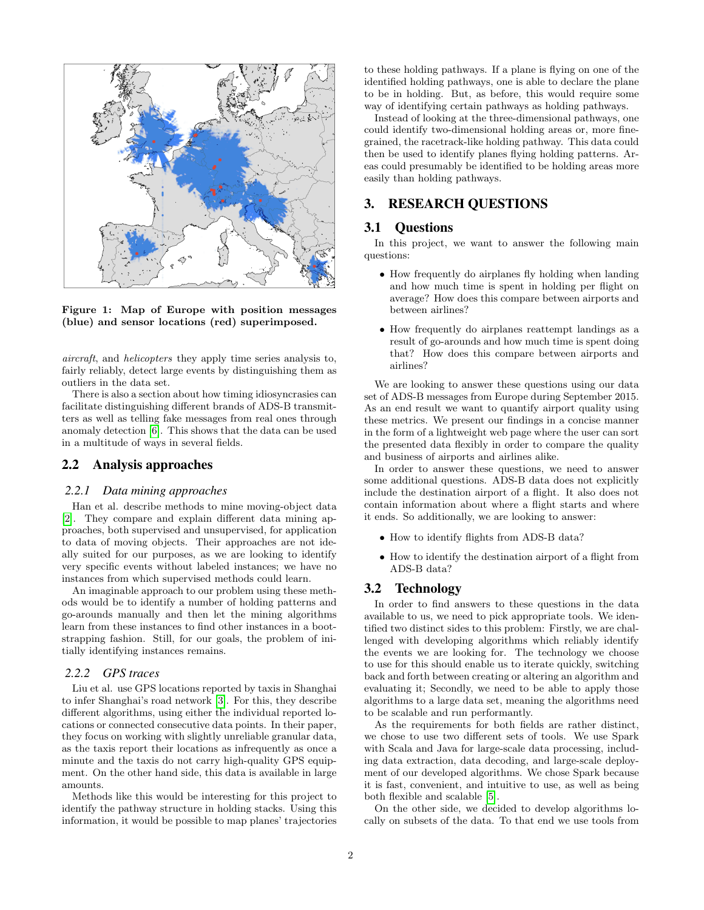

<span id="page-1-0"></span>Figure 1: Map of Europe with position messages (blue) and sensor locations (red) superimposed.

aircraft, and helicopters they apply time series analysis to, fairly reliably, detect large events by distinguishing them as outliers in the data set.

There is also a section about how timing idiosyncrasies can facilitate distinguishing different brands of ADS-B transmitters as well as telling fake messages from real ones through anomaly detection [\[6\]](#page-8-0). This shows that the data can be used in a multitude of ways in several fields.

# 2.2 Analysis approaches

#### <span id="page-1-1"></span>*2.2.1 Data mining approaches*

Han et al. describe methods to mine moving-object data [\[2\]](#page-8-1). They compare and explain different data mining approaches, both supervised and unsupervised, for application to data of moving objects. Their approaches are not ideally suited for our purposes, as we are looking to identify very specific events without labeled instances; we have no instances from which supervised methods could learn.

An imaginable approach to our problem using these methods would be to identify a number of holding patterns and go-arounds manually and then let the mining algorithms learn from these instances to find other instances in a bootstrapping fashion. Still, for our goals, the problem of initially identifying instances remains.

#### *2.2.2 GPS traces*

Liu et al. use GPS locations reported by taxis in Shanghai to infer Shanghai's road network [\[3\]](#page-8-2). For this, they describe different algorithms, using either the individual reported locations or connected consecutive data points. In their paper, they focus on working with slightly unreliable granular data, as the taxis report their locations as infrequently as once a minute and the taxis do not carry high-quality GPS equipment. On the other hand side, this data is available in large amounts.

Methods like this would be interesting for this project to identify the pathway structure in holding stacks. Using this information, it would be possible to map planes' trajectories to these holding pathways. If a plane is flying on one of the identified holding pathways, one is able to declare the plane to be in holding. But, as before, this would require some way of identifying certain pathways as holding pathways.

Instead of looking at the three-dimensional pathways, one could identify two-dimensional holding areas or, more finegrained, the racetrack-like holding pathway. This data could then be used to identify planes flying holding patterns. Areas could presumably be identified to be holding areas more easily than holding pathways.

# 3. RESEARCH QUESTIONS

# 3.1 Questions

In this project, we want to answer the following main questions:

- How frequently do airplanes fly holding when landing and how much time is spent in holding per flight on average? How does this compare between airports and between airlines?
- How frequently do airplanes reattempt landings as a result of go-arounds and how much time is spent doing that? How does this compare between airports and airlines?

We are looking to answer these questions using our data set of ADS-B messages from Europe during September 2015. As an end result we want to quantify airport quality using these metrics. We present our findings in a concise manner in the form of a lightweight web page where the user can sort the presented data flexibly in order to compare the quality and business of airports and airlines alike.

In order to answer these questions, we need to answer some additional questions. ADS-B data does not explicitly include the destination airport of a flight. It also does not contain information about where a flight starts and where it ends. So additionally, we are looking to answer:

- How to identify flights from ADS-B data?
- How to identify the destination airport of a flight from ADS-B data?

## 3.2 Technology

In order to find answers to these questions in the data available to us, we need to pick appropriate tools. We identified two distinct sides to this problem: Firstly, we are challenged with developing algorithms which reliably identify the events we are looking for. The technology we choose to use for this should enable us to iterate quickly, switching back and forth between creating or altering an algorithm and evaluating it; Secondly, we need to be able to apply those algorithms to a large data set, meaning the algorithms need to be scalable and run performantly.

As the requirements for both fields are rather distinct, we chose to use two different sets of tools. We use Spark with Scala and Java for large-scale data processing, including data extraction, data decoding, and large-scale deployment of our developed algorithms. We chose Spark because it is fast, convenient, and intuitive to use, as well as being both flexible and scalable [\[5\]](#page-8-3).

On the other side, we decided to develop algorithms locally on subsets of the data. To that end we use tools from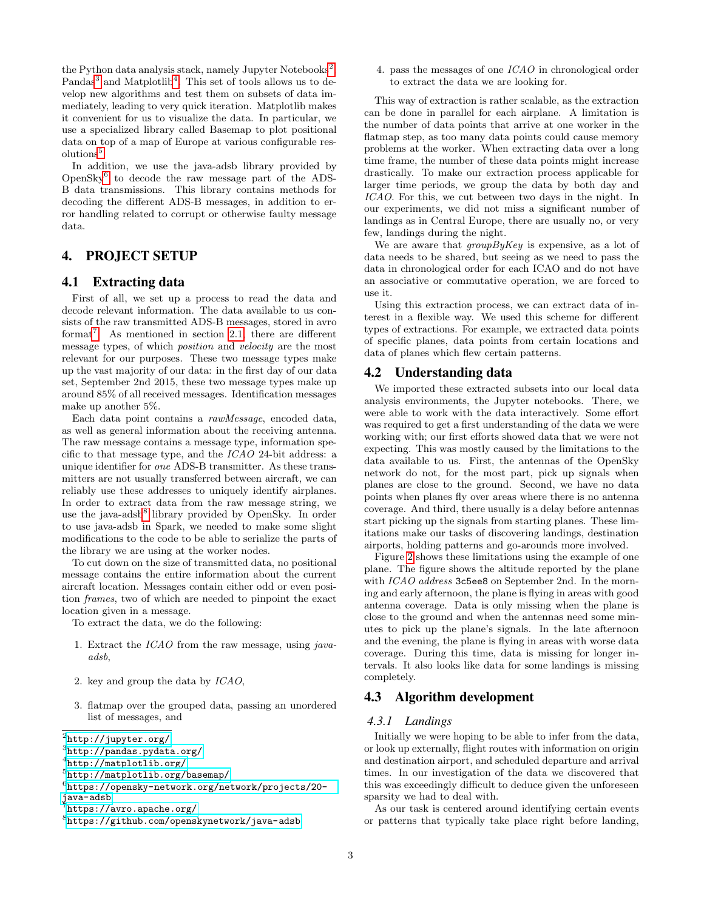the Python data analysis stack, namely Jupyter Notebooks<sup>[2](#page-2-0)</sup>, Pandas<sup>[3](#page-2-1)</sup> and Matplotlib<sup>[4](#page-2-2)</sup>. This set of tools allows us to develop new algorithms and test them on subsets of data immediately, leading to very quick iteration. Matplotlib makes it convenient for us to visualize the data. In particular, we use a specialized library called Basemap to plot positional data on top of a map of Europe at various configurable res-olutions<sup>[5](#page-2-3)</sup>.

In addition, we use the java-adsb library provided by OpenSky[6](#page-2-4) to decode the raw message part of the ADS-B data transmissions. This library contains methods for decoding the different ADS-B messages, in addition to error handling related to corrupt or otherwise faulty message data.

# 4. PROJECT SETUP

# <span id="page-2-7"></span>4.1 Extracting data

First of all, we set up a process to read the data and decode relevant information. The data available to us consists of the raw transmitted ADS-B messages, stored in avro format<sup>[7](#page-2-5)</sup>. As mentioned in section [2.1,](#page-0-1) there are different message types, of which position and velocity are the most relevant for our purposes. These two message types make up the vast majority of our data: in the first day of our data set, September 2nd 2015, these two message types make up around 85% of all received messages. Identification messages make up another 5%.

Each data point contains a rawMessage, encoded data, as well as general information about the receiving antenna. The raw message contains a message type, information specific to that message type, and the ICAO 24-bit address: a unique identifier for one ADS-B transmitter. As these transmitters are not usually transferred between aircraft, we can reliably use these addresses to uniquely identify airplanes. In order to extract data from the raw message string, we use the java-adsb<sup>[8](#page-2-6)</sup> library provided by OpenSky. In order to use java-adsb in Spark, we needed to make some slight modifications to the code to be able to serialize the parts of the library we are using at the worker nodes.

To cut down on the size of transmitted data, no positional message contains the entire information about the current aircraft location. Messages contain either odd or even position frames, two of which are needed to pinpoint the exact location given in a message.

To extract the data, we do the following:

- 1. Extract the ICAO from the raw message, using javaadsb,
- 2. key and group the data by ICAO,
- 3. flatmap over the grouped data, passing an unordered list of messages, and

4. pass the messages of one ICAO in chronological order to extract the data we are looking for.

This way of extraction is rather scalable, as the extraction can be done in parallel for each airplane. A limitation is the number of data points that arrive at one worker in the flatmap step, as too many data points could cause memory problems at the worker. When extracting data over a long time frame, the number of these data points might increase drastically. To make our extraction process applicable for larger time periods, we group the data by both day and ICAO. For this, we cut between two days in the night. In our experiments, we did not miss a significant number of landings as in Central Europe, there are usually no, or very few, landings during the night.

We are aware that  $groupByKey$  is expensive, as a lot of data needs to be shared, but seeing as we need to pass the data in chronological order for each ICAO and do not have an associative or commutative operation, we are forced to use it.

Using this extraction process, we can extract data of interest in a flexible way. We used this scheme for different types of extractions. For example, we extracted data points of specific planes, data points from certain locations and data of planes which flew certain patterns.

# 4.2 Understanding data

We imported these extracted subsets into our local data analysis environments, the Jupyter notebooks. There, we were able to work with the data interactively. Some effort was required to get a first understanding of the data we were working with; our first efforts showed data that we were not expecting. This was mostly caused by the limitations to the data available to us. First, the antennas of the OpenSky network do not, for the most part, pick up signals when planes are close to the ground. Second, we have no data points when planes fly over areas where there is no antenna coverage. And third, there usually is a delay before antennas start picking up the signals from starting planes. These limitations make our tasks of discovering landings, destination airports, holding patterns and go-arounds more involved.

Figure [2](#page-3-0) shows these limitations using the example of one plane. The figure shows the altitude reported by the plane with ICAO address 3c5ee8 on September 2nd. In the morning and early afternoon, the plane is flying in areas with good antenna coverage. Data is only missing when the plane is close to the ground and when the antennas need some minutes to pick up the plane's signals. In the late afternoon and the evening, the plane is flying in areas with worse data coverage. During this time, data is missing for longer intervals. It also looks like data for some landings is missing completely.

# 4.3 Algorithm development

#### *4.3.1 Landings*

Initially we were hoping to be able to infer from the data, or look up externally, flight routes with information on origin and destination airport, and scheduled departure and arrival times. In our investigation of the data we discovered that this was exceedingly difficult to deduce given the unforeseen sparsity we had to deal with.

As our task is centered around identifying certain events or patterns that typically take place right before landing,

<span id="page-2-0"></span> $^{2}$ <http://jupyter.org/>

<span id="page-2-1"></span><sup>3</sup> <http://pandas.pydata.org/>

<span id="page-2-2"></span><sup>4</sup> <http://matplotlib.org/>

<span id="page-2-3"></span><sup>5</sup> <http://matplotlib.org/basemap/>

<span id="page-2-4"></span><sup>6</sup> [https://opensky-network.org/network/projects/20-](https://opensky-network.org/network/projects/20-java-adsb)

[java-adsb](https://opensky-network.org/network/projects/20-java-adsb)

<span id="page-2-5"></span> $^7$ <https://avro.apache.org/>

<span id="page-2-6"></span><sup>8</sup> <https://github.com/openskynetwork/java-adsb>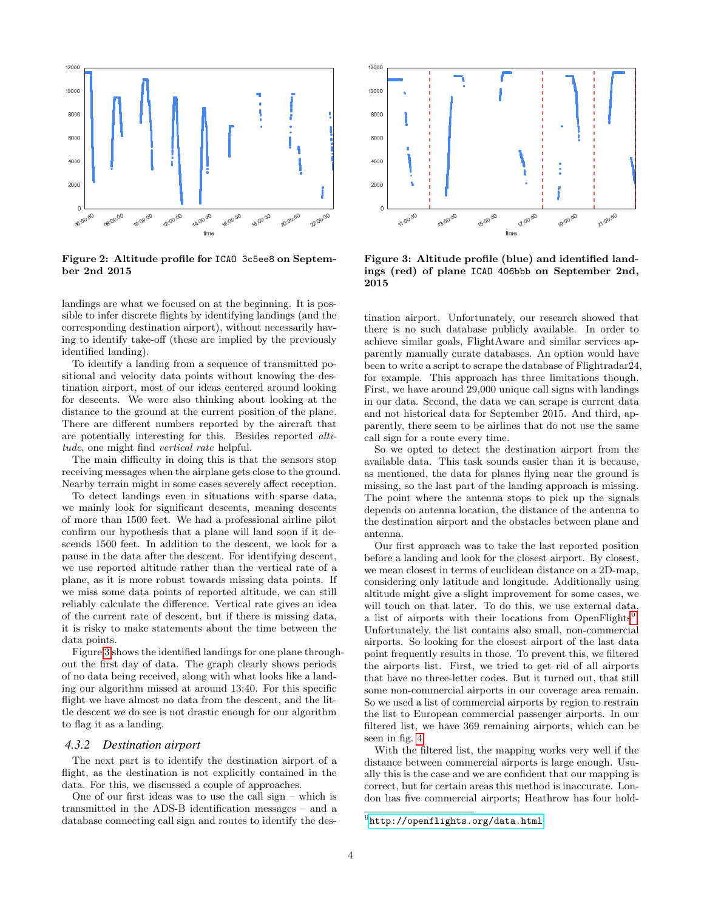

<span id="page-3-0"></span>Figure 2: Altitude profile for ICAO 3c5ee8 on September 2nd 2015

landings are what we focused on at the beginning. It is possible to infer discrete flights by identifying landings (and the corresponding destination airport), without necessarily having to identify take-off (these are implied by the previously identified landing).

To identify a landing from a sequence of transmitted positional and velocity data points without knowing the destination airport, most of our ideas centered around looking for descents. We were also thinking about looking at the distance to the ground at the current position of the plane. There are different numbers reported by the aircraft that are potentially interesting for this. Besides reported altitude, one might find vertical rate helpful.

The main difficulty in doing this is that the sensors stop receiving messages when the airplane gets close to the ground. Nearby terrain might in some cases severely affect reception.

To detect landings even in situations with sparse data, we mainly look for significant descents, meaning descents of more than 1500 feet. We had a professional airline pilot confirm our hypothesis that a plane will land soon if it descends 1500 feet. In addition to the descent, we look for a pause in the data after the descent. For identifying descent, we use reported altitude rather than the vertical rate of a plane, as it is more robust towards missing data points. If we miss some data points of reported altitude, we can still reliably calculate the difference. Vertical rate gives an idea of the current rate of descent, but if there is missing data, it is risky to make statements about the time between the data points.

Figure [3](#page-3-1) shows the identified landings for one plane throughout the first day of data. The graph clearly shows periods of no data being received, along with what looks like a landing our algorithm missed at around 13:40. For this specific flight we have almost no data from the descent, and the little descent we do see is not drastic enough for our algorithm to flag it as a landing.

#### *4.3.2 Destination airport*

The next part is to identify the destination airport of a flight, as the destination is not explicitly contained in the data. For this, we discussed a couple of approaches.

One of our first ideas was to use the call sign – which is transmitted in the ADS-B identification messages – and a database connecting call sign and routes to identify the des-



<span id="page-3-1"></span>Figure 3: Altitude profile (blue) and identified landings (red) of plane ICAO 406bbb on September 2nd, 2015

tination airport. Unfortunately, our research showed that there is no such database publicly available. In order to achieve similar goals, FlightAware and similar services apparently manually curate databases. An option would have been to write a script to scrape the database of Flightradar24, for example. This approach has three limitations though. First, we have around 29,000 unique call signs with landings in our data. Second, the data we can scrape is current data and not historical data for September 2015. And third, apparently, there seem to be airlines that do not use the same call sign for a route every time.

So we opted to detect the destination airport from the available data. This task sounds easier than it is because, as mentioned, the data for planes flying near the ground is missing, so the last part of the landing approach is missing. The point where the antenna stops to pick up the signals depends on antenna location, the distance of the antenna to the destination airport and the obstacles between plane and antenna.

Our first approach was to take the last reported position before a landing and look for the closest airport. By closest, we mean closest in terms of euclidean distance on a 2D-map, considering only latitude and longitude. Additionally using altitude might give a slight improvement for some cases, we will touch on that later. To do this, we use external data, a list of airports with their locations from OpenFlights<sup>[9](#page-3-2)</sup> . Unfortunately, the list contains also small, non-commercial airports. So looking for the closest airport of the last data point frequently results in those. To prevent this, we filtered the airports list. First, we tried to get rid of all airports that have no three-letter codes. But it turned out, that still some non-commercial airports in our coverage area remain. So we used a list of commercial airports by region to restrain the list to European commercial passenger airports. In our filtered list, we have 369 remaining airports, which can be seen in fig. [4.](#page-4-0)

With the filtered list, the mapping works very well if the distance between commercial airports is large enough. Usually this is the case and we are confident that our mapping is correct, but for certain areas this method is inaccurate. London has five commercial airports; Heathrow has four hold-

<span id="page-3-2"></span> $^{9}$ <http://openflights.org/data.html>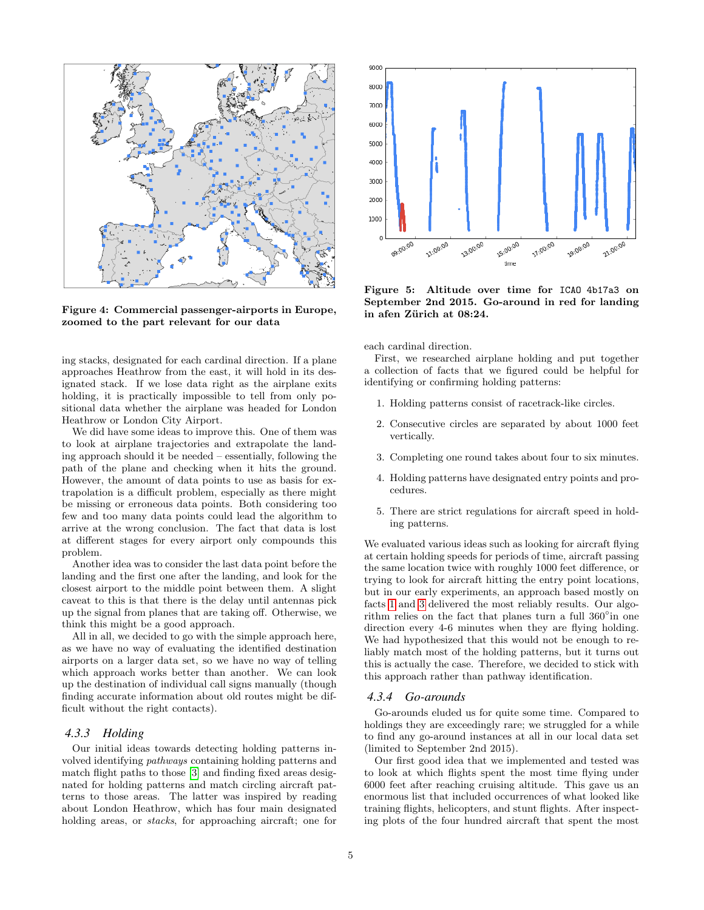

<span id="page-4-0"></span>Figure 4: Commercial passenger-airports in Europe, zoomed to the part relevant for our data

ing stacks, designated for each cardinal direction. If a plane approaches Heathrow from the east, it will hold in its designated stack. If we lose data right as the airplane exits holding, it is practically impossible to tell from only positional data whether the airplane was headed for London Heathrow or London City Airport.

We did have some ideas to improve this. One of them was to look at airplane trajectories and extrapolate the landing approach should it be needed – essentially, following the path of the plane and checking when it hits the ground. However, the amount of data points to use as basis for extrapolation is a difficult problem, especially as there might be missing or erroneous data points. Both considering too few and too many data points could lead the algorithm to arrive at the wrong conclusion. The fact that data is lost at different stages for every airport only compounds this problem.

Another idea was to consider the last data point before the landing and the first one after the landing, and look for the closest airport to the middle point between them. A slight caveat to this is that there is the delay until antennas pick up the signal from planes that are taking off. Otherwise, we think this might be a good approach.

All in all, we decided to go with the simple approach here, as we have no way of evaluating the identified destination airports on a larger data set, so we have no way of telling which approach works better than another. We can look up the destination of individual call signs manually (though finding accurate information about old routes might be difficult without the right contacts).

#### *4.3.3 Holding*

Our initial ideas towards detecting holding patterns involved identifying pathways containing holding patterns and match flight paths to those [\[3\]](#page-8-2) and finding fixed areas designated for holding patterns and match circling aircraft patterns to those areas. The latter was inspired by reading about London Heathrow, which has four main designated holding areas, or *stacks*, for approaching aircraft; one for



<span id="page-4-3"></span>Figure 5: Altitude over time for ICAO 4b17a3 on September 2nd 2015. Go-around in red for landing in afen Zürich at 08:24.

each cardinal direction.

First, we researched airplane holding and put together a collection of facts that we figured could be helpful for identifying or confirming holding patterns:

- <span id="page-4-1"></span>1. Holding patterns consist of racetrack-like circles.
- 2. Consecutive circles are separated by about 1000 feet vertically.
- <span id="page-4-2"></span>3. Completing one round takes about four to six minutes.
- 4. Holding patterns have designated entry points and procedures.
- 5. There are strict regulations for aircraft speed in holding patterns.

We evaluated various ideas such as looking for aircraft flying at certain holding speeds for periods of time, aircraft passing the same location twice with roughly 1000 feet difference, or trying to look for aircraft hitting the entry point locations, but in our early experiments, an approach based mostly on facts [1](#page-4-1) and [3](#page-4-2) delivered the most reliably results. Our algorithm relies on the fact that planes turn a full 360° in one direction every 4-6 minutes when they are flying holding. We had hypothesized that this would not be enough to reliably match most of the holding patterns, but it turns out this is actually the case. Therefore, we decided to stick with this approach rather than pathway identification.

#### <span id="page-4-4"></span>*4.3.4 Go-arounds*

Go-arounds eluded us for quite some time. Compared to holdings they are exceedingly rare; we struggled for a while to find any go-around instances at all in our local data set (limited to September 2nd 2015).

Our first good idea that we implemented and tested was to look at which flights spent the most time flying under 6000 feet after reaching cruising altitude. This gave us an enormous list that included occurrences of what looked like training flights, helicopters, and stunt flights. After inspecting plots of the four hundred aircraft that spent the most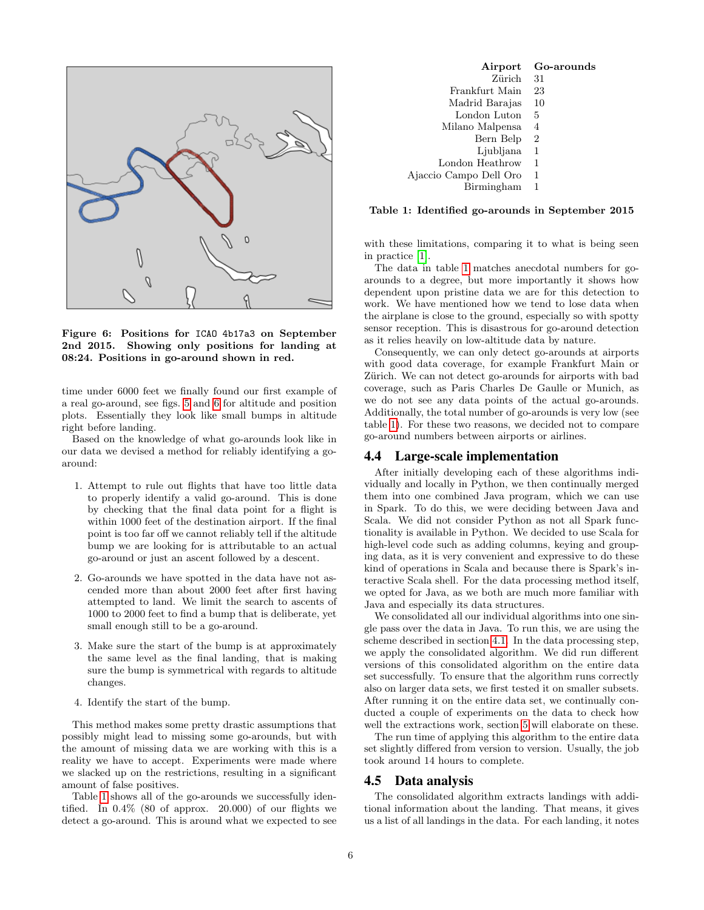

<span id="page-5-0"></span>Figure 6: Positions for ICAO 4b17a3 on September 2nd 2015. Showing only positions for landing at 08:24. Positions in go-around shown in red.

time under 6000 feet we finally found our first example of a real go-around, see figs. [5](#page-4-3) and [6](#page-5-0) for altitude and position plots. Essentially they look like small bumps in altitude right before landing.

Based on the knowledge of what go-arounds look like in our data we devised a method for reliably identifying a goaround:

- 1. Attempt to rule out flights that have too little data to properly identify a valid go-around. This is done by checking that the final data point for a flight is within 1000 feet of the destination airport. If the final point is too far off we cannot reliably tell if the altitude bump we are looking for is attributable to an actual go-around or just an ascent followed by a descent.
- 2. Go-arounds we have spotted in the data have not ascended more than about 2000 feet after first having attempted to land. We limit the search to ascents of 1000 to 2000 feet to find a bump that is deliberate, yet small enough still to be a go-around.
- 3. Make sure the start of the bump is at approximately the same level as the final landing, that is making sure the bump is symmetrical with regards to altitude changes.
- 4. Identify the start of the bump.

This method makes some pretty drastic assumptions that possibly might lead to missing some go-arounds, but with the amount of missing data we are working with this is a reality we have to accept. Experiments were made where we slacked up on the restrictions, resulting in a significant amount of false positives.

Table [1](#page-5-1) shows all of the go-arounds we successfully identified. In  $0.4\%$  (80 of approx. 20.000) of our flights we detect a go-around. This is around what we expected to see

| Airport                | Go-arounds     |
|------------------------|----------------|
| Zürich                 | 31             |
| Frankfurt Main         | 23             |
| Madrid Barajas         | 10             |
| London Luton           | 5              |
| Milano Malpensa        | 4              |
| Bern Belp              | $\overline{2}$ |
| Liubliana              | 1              |
| London Heathrow        | 1              |
| Ajaccio Campo Dell Oro | 1              |
| Birmingham             |                |

<span id="page-5-1"></span>Table 1: Identified go-arounds in September 2015

with these limitations, comparing it to what is being seen in practice [\[1\]](#page-8-4).

The data in table [1](#page-5-1) matches anecdotal numbers for goarounds to a degree, but more importantly it shows how dependent upon pristine data we are for this detection to work. We have mentioned how we tend to lose data when the airplane is close to the ground, especially so with spotty sensor reception. This is disastrous for go-around detection as it relies heavily on low-altitude data by nature.

Consequently, we can only detect go-arounds at airports with good data coverage, for example Frankfurt Main or Zürich. We can not detect go-arounds for airports with bad coverage, such as Paris Charles De Gaulle or Munich, as we do not see any data points of the actual go-arounds. Additionally, the total number of go-arounds is very low (see table [1\)](#page-5-1). For these two reasons, we decided not to compare go-around numbers between airports or airlines.

#### 4.4 Large-scale implementation

After initially developing each of these algorithms individually and locally in Python, we then continually merged them into one combined Java program, which we can use in Spark. To do this, we were deciding between Java and Scala. We did not consider Python as not all Spark functionality is available in Python. We decided to use Scala for high-level code such as adding columns, keying and grouping data, as it is very convenient and expressive to do these kind of operations in Scala and because there is Spark's interactive Scala shell. For the data processing method itself, we opted for Java, as we both are much more familiar with Java and especially its data structures.

We consolidated all our individual algorithms into one single pass over the data in Java. To run this, we are using the scheme described in section [4.1.](#page-2-7) In the data processing step, we apply the consolidated algorithm. We did run different versions of this consolidated algorithm on the entire data set successfully. To ensure that the algorithm runs correctly also on larger data sets, we first tested it on smaller subsets. After running it on the entire data set, we continually conducted a couple of experiments on the data to check how well the extractions work, section [5](#page-6-0) will elaborate on these.

The run time of applying this algorithm to the entire data set slightly differed from version to version. Usually, the job took around 14 hours to complete.

#### 4.5 Data analysis

The consolidated algorithm extracts landings with additional information about the landing. That means, it gives us a list of all landings in the data. For each landing, it notes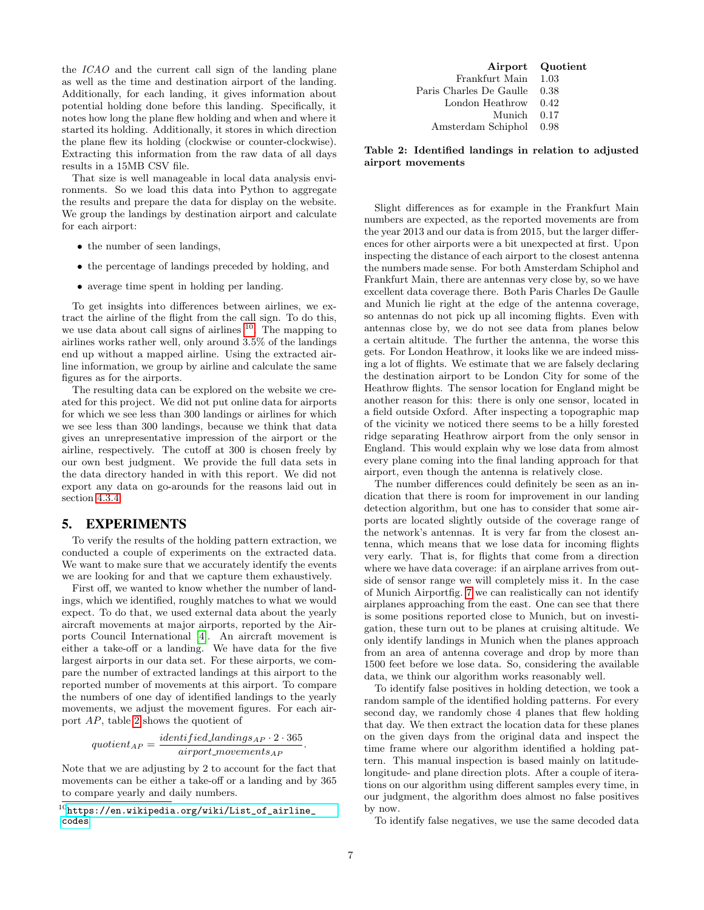the ICAO and the current call sign of the landing plane as well as the time and destination airport of the landing. Additionally, for each landing, it gives information about potential holding done before this landing. Specifically, it notes how long the plane flew holding and when and where it started its holding. Additionally, it stores in which direction the plane flew its holding (clockwise or counter-clockwise). Extracting this information from the raw data of all days results in a 15MB CSV file.

That size is well manageable in local data analysis environments. So we load this data into Python to aggregate the results and prepare the data for display on the website. We group the landings by destination airport and calculate for each airport:

- the number of seen landings,
- the percentage of landings preceded by holding, and
- average time spent in holding per landing.

To get insights into differences between airlines, we extract the airline of the flight from the call sign. To do this, we use data about call signs of airlines  $10$ . The mapping to airlines works rather well, only around 3.5% of the landings end up without a mapped airline. Using the extracted airline information, we group by airline and calculate the same figures as for the airports.

The resulting data can be explored on the website we created for this project. We did not put online data for airports for which we see less than 300 landings or airlines for which we see less than 300 landings, because we think that data gives an unrepresentative impression of the airport or the airline, respectively. The cutoff at 300 is chosen freely by our own best judgment. We provide the full data sets in the data directory handed in with this report. We did not export any data on go-arounds for the reasons laid out in section [4.3.4.](#page-4-4)

#### <span id="page-6-0"></span>5. EXPERIMENTS

To verify the results of the holding pattern extraction, we conducted a couple of experiments on the extracted data. We want to make sure that we accurately identify the events we are looking for and that we capture them exhaustively.

First off, we wanted to know whether the number of landings, which we identified, roughly matches to what we would expect. To do that, we used external data about the yearly aircraft movements at major airports, reported by the Airports Council International [\[4\]](#page-8-5). An aircraft movement is either a take-off or a landing. We have data for the five largest airports in our data set. For these airports, we compare the number of extracted landings at this airport to the reported number of movements at this airport. To compare the numbers of one day of identified landings to the yearly movements, we adjust the movement figures. For each airport AP, table [2](#page-6-2) shows the quotient of

$$
quotient_{AP} = \frac{identified\,Landings_{AP} \cdot 2 \cdot 365}{airport_movements_{AP}}
$$

Note that we are adjusting by 2 to account for the fact that movements can be either a take-off or a landing and by 365 to compare yearly and daily numbers.

|                              | Airport Quotient |
|------------------------------|------------------|
| Frankfurt Main 1.03          |                  |
| Paris Charles De Gaulle 0.38 |                  |
| London Heathrow 0.42         |                  |
| Munich 0.17                  |                  |
| Amsterdam Schiphol 0.98      |                  |

<span id="page-6-2"></span>Table 2: Identified landings in relation to adjusted airport movements

Slight differences as for example in the Frankfurt Main numbers are expected, as the reported movements are from the year 2013 and our data is from 2015, but the larger differences for other airports were a bit unexpected at first. Upon inspecting the distance of each airport to the closest antenna the numbers made sense. For both Amsterdam Schiphol and Frankfurt Main, there are antennas very close by, so we have excellent data coverage there. Both Paris Charles De Gaulle and Munich lie right at the edge of the antenna coverage, so antennas do not pick up all incoming flights. Even with antennas close by, we do not see data from planes below a certain altitude. The further the antenna, the worse this gets. For London Heathrow, it looks like we are indeed missing a lot of flights. We estimate that we are falsely declaring the destination airport to be London City for some of the Heathrow flights. The sensor location for England might be another reason for this: there is only one sensor, located in a field outside Oxford. After inspecting a topographic map of the vicinity we noticed there seems to be a hilly forested ridge separating Heathrow airport from the only sensor in England. This would explain why we lose data from almost every plane coming into the final landing approach for that airport, even though the antenna is relatively close.

The number differences could definitely be seen as an indication that there is room for improvement in our landing detection algorithm, but one has to consider that some airports are located slightly outside of the coverage range of the network's antennas. It is very far from the closest antenna, which means that we lose data for incoming flights very early. That is, for flights that come from a direction where we have data coverage: if an airplane arrives from outside of sensor range we will completely miss it. In the case of Munich Airportfig. [7](#page-7-1) we can realistically can not identify airplanes approaching from the east. One can see that there is some positions reported close to Munich, but on investigation, these turn out to be planes at cruising altitude. We only identify landings in Munich when the planes approach from an area of antenna coverage and drop by more than 1500 feet before we lose data. So, considering the available data, we think our algorithm works reasonably well.

To identify false positives in holding detection, we took a random sample of the identified holding patterns. For every second day, we randomly chose 4 planes that flew holding that day. We then extract the location data for these planes on the given days from the original data and inspect the time frame where our algorithm identified a holding pattern. This manual inspection is based mainly on latitudelongitude- and plane direction plots. After a couple of iterations on our algorithm using different samples every time, in our judgment, the algorithm does almost no false positives by now.

To identify false negatives, we use the same decoded data

.

<span id="page-6-1"></span> $^{10}$ [https://en.wikipedia.org/wiki/List\\_of\\_airline\\_](https://en.wikipedia.org/wiki/List_of_airline_codes) [codes](https://en.wikipedia.org/wiki/List_of_airline_codes)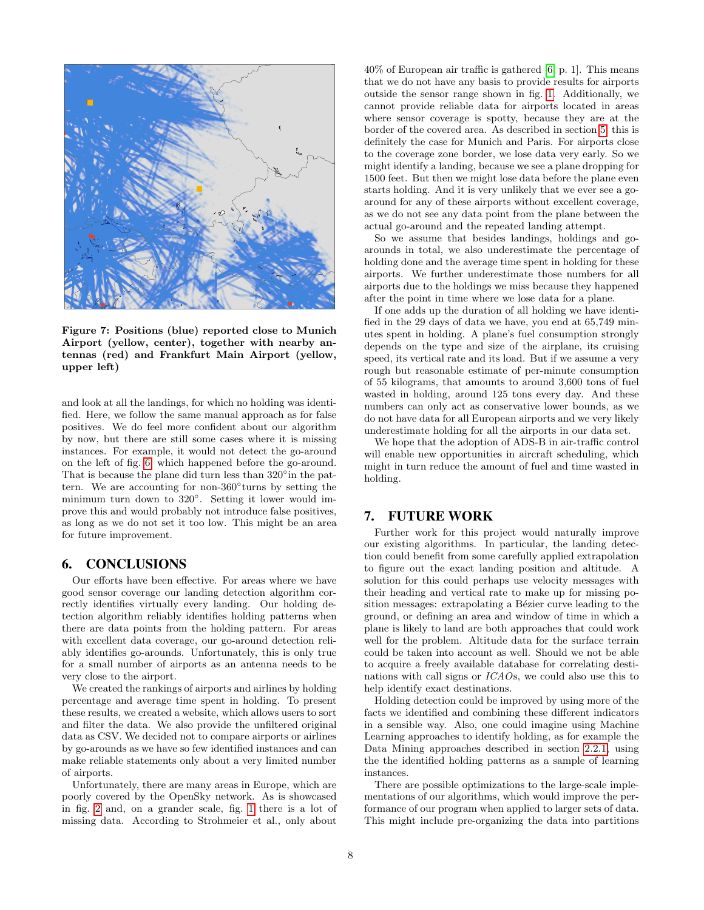

<span id="page-7-1"></span>Figure 7: Positions (blue) reported close to Munich Airport (yellow, center), together with nearby antennas (red) and Frankfurt Main Airport (yellow, upper left)

and look at all the landings, for which no holding was identified. Here, we follow the same manual approach as for false positives. We do feel more confident about our algorithm by now, but there are still some cases where it is missing instances. For example, it would not detect the go-around on the left of fig. [6,](#page-5-0) which happened before the go-around. That is because the plane did turn less than 320° in the pattern. We are accounting for non-360◦ turns by setting the minimum turn down to 320◦ . Setting it lower would improve this and would probably not introduce false positives, as long as we do not set it too low. This might be an area for future improvement.

#### <span id="page-7-0"></span>6. CONCLUSIONS

Our efforts have been effective. For areas where we have good sensor coverage our landing detection algorithm correctly identifies virtually every landing. Our holding detection algorithm reliably identifies holding patterns when there are data points from the holding pattern. For areas with excellent data coverage, our go-around detection reliably identifies go-arounds. Unfortunately, this is only true for a small number of airports as an antenna needs to be very close to the airport.

We created the rankings of airports and airlines by holding percentage and average time spent in holding. To present these results, we created a website, which allows users to sort and filter the data. We also provide the unfiltered original data as CSV. We decided not to compare airports or airlines by go-arounds as we have so few identified instances and can make reliable statements only about a very limited number of airports.

Unfortunately, there are many areas in Europe, which are poorly covered by the OpenSky network. As is showcased in fig. [2](#page-3-0) and, on a grander scale, fig. [1](#page-1-0) there is a lot of missing data. According to Strohmeier et al., only about

40% of European air traffic is gathered [\[6,](#page-8-0) p. 1]. This means that we do not have any basis to provide results for airports outside the sensor range shown in fig. [1.](#page-1-0) Additionally, we cannot provide reliable data for airports located in areas where sensor coverage is spotty, because they are at the border of the covered area. As described in section [5,](#page-6-0) this is definitely the case for Munich and Paris. For airports close to the coverage zone border, we lose data very early. So we might identify a landing, because we see a plane dropping for 1500 feet. But then we might lose data before the plane even starts holding. And it is very unlikely that we ever see a goaround for any of these airports without excellent coverage, as we do not see any data point from the plane between the actual go-around and the repeated landing attempt.

So we assume that besides landings, holdings and goarounds in total, we also underestimate the percentage of holding done and the average time spent in holding for these airports. We further underestimate those numbers for all airports due to the holdings we miss because they happened after the point in time where we lose data for a plane.

If one adds up the duration of all holding we have identified in the 29 days of data we have, you end at 65,749 minutes spent in holding. A plane's fuel consumption strongly depends on the type and size of the airplane, its cruising speed, its vertical rate and its load. But if we assume a very rough but reasonable estimate of per-minute consumption of 55 kilograms, that amounts to around 3,600 tons of fuel wasted in holding, around 125 tons every day. And these numbers can only act as conservative lower bounds, as we do not have data for all European airports and we very likely underestimate holding for all the airports in our data set.

We hope that the adoption of ADS-B in air-traffic control will enable new opportunities in aircraft scheduling, which might in turn reduce the amount of fuel and time wasted in holding.

# 7. FUTURE WORK

Further work for this project would naturally improve our existing algorithms. In particular, the landing detection could benefit from some carefully applied extrapolation to figure out the exact landing position and altitude. A solution for this could perhaps use velocity messages with their heading and vertical rate to make up for missing position messages: extrapolating a Bézier curve leading to the ground, or defining an area and window of time in which a plane is likely to land are both approaches that could work well for the problem. Altitude data for the surface terrain could be taken into account as well. Should we not be able to acquire a freely available database for correlating destinations with call signs or ICAOs, we could also use this to help identify exact destinations.

Holding detection could be improved by using more of the facts we identified and combining these different indicators in a sensible way. Also, one could imagine using Machine Learning approaches to identify holding, as for example the Data Mining approaches described in section [2.2.1,](#page-1-1) using the the identified holding patterns as a sample of learning instances.

There are possible optimizations to the large-scale implementations of our algorithms, which would improve the performance of our program when applied to larger sets of data. This might include pre-organizing the data into partitions